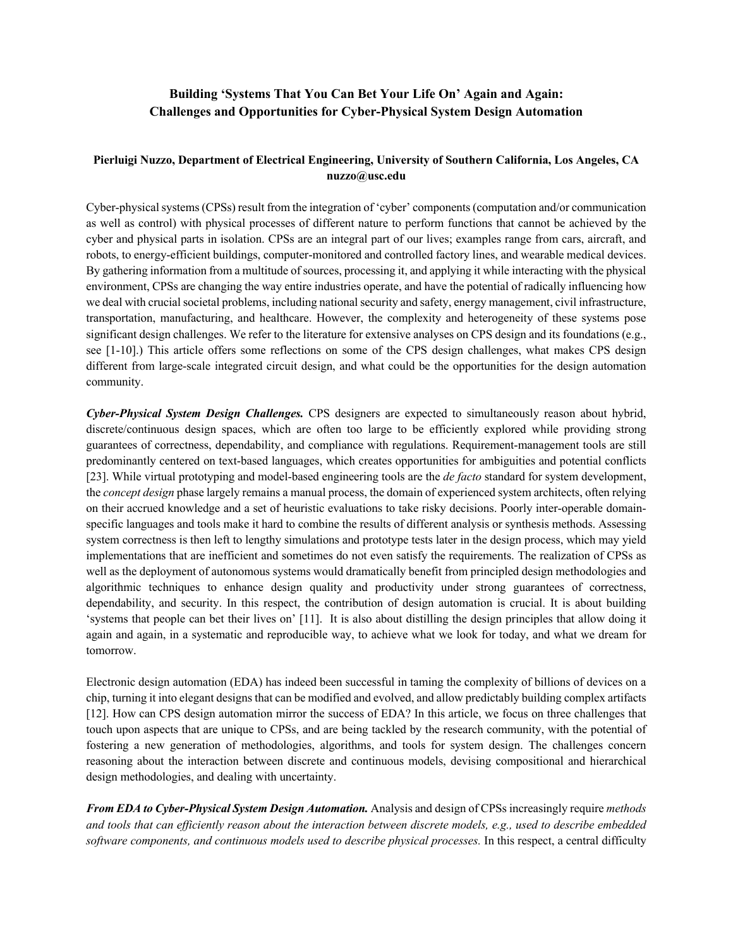## **Building 'Systems That You Can Bet Your Life On' Again and Again: Challenges and Opportunities for Cyber-Physical System Design Automation**

## **Pierluigi Nuzzo, Department of Electrical Engineering, University of Southern California, Los Angeles, CA nuzzo@usc.edu**

Cyber-physical systems (CPSs) result from the integration of 'cyber' components (computation and/or communication as well as control) with physical processes of different nature to perform functions that cannot be achieved by the cyber and physical parts in isolation. CPSs are an integral part of our lives; examples range from cars, aircraft, and robots, to energy-efficient buildings, computer-monitored and controlled factory lines, and wearable medical devices. By gathering information from a multitude of sources, processing it, and applying it while interacting with the physical environment, CPSs are changing the way entire industries operate, and have the potential of radically influencing how we deal with crucial societal problems, including national security and safety, energy management, civil infrastructure, transportation, manufacturing, and healthcare. However, the complexity and heterogeneity of these systems pose significant design challenges. We refer to the literature for extensive analyses on CPS design and its foundations (e.g., see [1-10].) This article offers some reflections on some of the CPS design challenges, what makes CPS design different from large-scale integrated circuit design, and what could be the opportunities for the design automation community.

*Cyber-Physical System Design Challenges.* CPS designers are expected to simultaneously reason about hybrid, discrete/continuous design spaces, which are often too large to be efficiently explored while providing strong guarantees of correctness, dependability, and compliance with regulations. Requirement-management tools are still predominantly centered on text-based languages, which creates opportunities for ambiguities and potential conflicts [23]. While virtual prototyping and model-based engineering tools are the *de facto* standard for system development, the *concept design* phase largely remains a manual process, the domain of experienced system architects, often relying on their accrued knowledge and a set of heuristic evaluations to take risky decisions. Poorly inter-operable domainspecific languages and tools make it hard to combine the results of different analysis or synthesis methods. Assessing system correctness is then left to lengthy simulations and prototype tests later in the design process, which may yield implementations that are inefficient and sometimes do not even satisfy the requirements. The realization of CPSs as well as the deployment of autonomous systems would dramatically benefit from principled design methodologies and algorithmic techniques to enhance design quality and productivity under strong guarantees of correctness, dependability, and security. In this respect, the contribution of design automation is crucial. It is about building 'systems that people can bet their lives on' [11]. It is also about distilling the design principles that allow doing it again and again, in a systematic and reproducible way, to achieve what we look for today, and what we dream for tomorrow.

Electronic design automation (EDA) has indeed been successful in taming the complexity of billions of devices on a chip, turning it into elegant designs that can be modified and evolved, and allow predictably building complex artifacts [12]. How can CPS design automation mirror the success of EDA? In this article, we focus on three challenges that touch upon aspects that are unique to CPSs, and are being tackled by the research community, with the potential of fostering a new generation of methodologies, algorithms, and tools for system design. The challenges concern reasoning about the interaction between discrete and continuous models, devising compositional and hierarchical design methodologies, and dealing with uncertainty.

*From EDA to Cyber-Physical System Design Automation.* Analysis and design of CPSs increasingly require *methods and tools that can efficiently reason about the interaction between discrete models, e.g., used to describe embedded software components, and continuous models used to describe physical processes.* In this respect, a central difficulty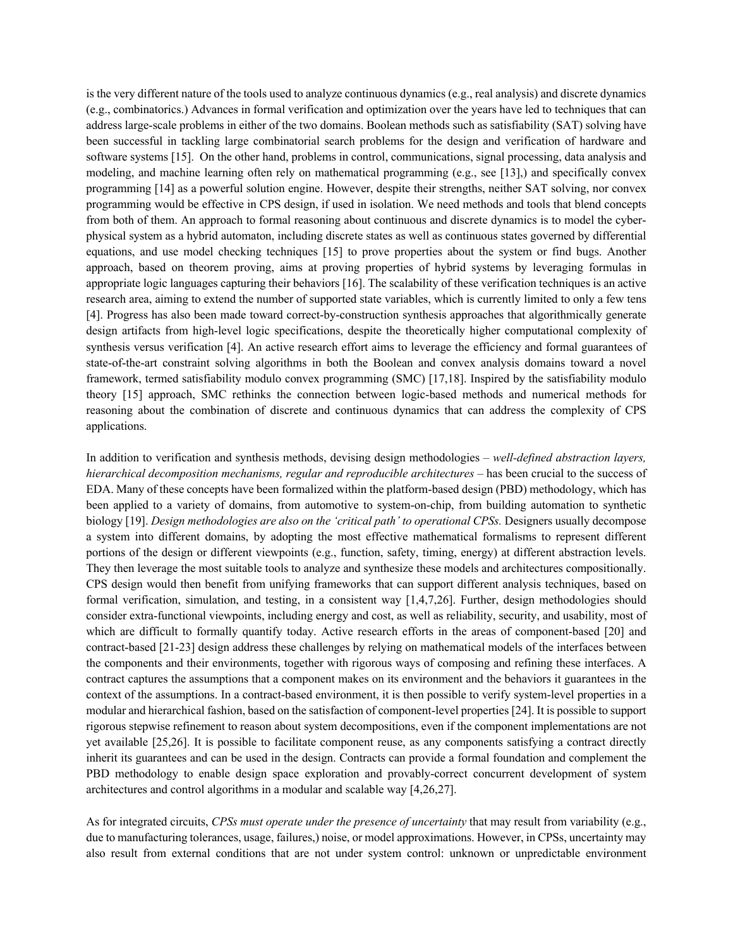is the very different nature of the tools used to analyze continuous dynamics (e.g., real analysis) and discrete dynamics (e.g., combinatorics.) Advances in formal verification and optimization over the years have led to techniques that can address large-scale problems in either of the two domains. Boolean methods such as satisfiability (SAT) solving have been successful in tackling large combinatorial search problems for the design and verification of hardware and software systems [15]. On the other hand, problems in control, communications, signal processing, data analysis and modeling, and machine learning often rely on mathematical programming (e.g., see [13],) and specifically convex programming [14] as a powerful solution engine. However, despite their strengths, neither SAT solving, nor convex programming would be effective in CPS design, if used in isolation. We need methods and tools that blend concepts from both of them. An approach to formal reasoning about continuous and discrete dynamics is to model the cyberphysical system as a hybrid automaton, including discrete states as well as continuous states governed by differential equations, and use model checking techniques [15] to prove properties about the system or find bugs. Another approach, based on theorem proving, aims at proving properties of hybrid systems by leveraging formulas in appropriate logic languages capturing their behaviors [16]. The scalability of these verification techniques is an active research area, aiming to extend the number of supported state variables, which is currently limited to only a few tens [4]. Progress has also been made toward correct-by-construction synthesis approaches that algorithmically generate design artifacts from high-level logic specifications, despite the theoretically higher computational complexity of synthesis versus verification [4]. An active research effort aims to leverage the efficiency and formal guarantees of state-of-the-art constraint solving algorithms in both the Boolean and convex analysis domains toward a novel framework, termed satisfiability modulo convex programming (SMC) [17,18]. Inspired by the satisfiability modulo theory [15] approach, SMC rethinks the connection between logic-based methods and numerical methods for reasoning about the combination of discrete and continuous dynamics that can address the complexity of CPS applications.

In addition to verification and synthesis methods, devising design methodologies – *well-defined abstraction layers, hierarchical decomposition mechanisms, regular and reproducible architectures* – has been crucial to the success of EDA. Many of these concepts have been formalized within the platform-based design (PBD) methodology, which has been applied to a variety of domains, from automotive to system-on-chip, from building automation to synthetic biology [19]. *Design methodologies are also on the 'critical path' to operational CPSs.* Designers usually decompose a system into different domains, by adopting the most effective mathematical formalisms to represent different portions of the design or different viewpoints (e.g., function, safety, timing, energy) at different abstraction levels. They then leverage the most suitable tools to analyze and synthesize these models and architectures compositionally. CPS design would then benefit from unifying frameworks that can support different analysis techniques, based on formal verification, simulation, and testing, in a consistent way [1,4,7,26]. Further, design methodologies should consider extra-functional viewpoints, including energy and cost, as well as reliability, security, and usability, most of which are difficult to formally quantify today. Active research efforts in the areas of component-based [20] and contract-based [21-23] design address these challenges by relying on mathematical models of the interfaces between the components and their environments, together with rigorous ways of composing and refining these interfaces. A contract captures the assumptions that a component makes on its environment and the behaviors it guarantees in the context of the assumptions. In a contract-based environment, it is then possible to verify system-level properties in a modular and hierarchical fashion, based on the satisfaction of component-level properties [24]. It is possible to support rigorous stepwise refinement to reason about system decompositions, even if the component implementations are not yet available [25,26]. It is possible to facilitate component reuse, as any components satisfying a contract directly inherit its guarantees and can be used in the design. Contracts can provide a formal foundation and complement the PBD methodology to enable design space exploration and provably-correct concurrent development of system architectures and control algorithms in a modular and scalable way [4,26,27].

As for integrated circuits, *CPSs must operate under the presence of uncertainty* that may result from variability (e.g., due to manufacturing tolerances, usage, failures,) noise, or model approximations. However, in CPSs, uncertainty may also result from external conditions that are not under system control: unknown or unpredictable environment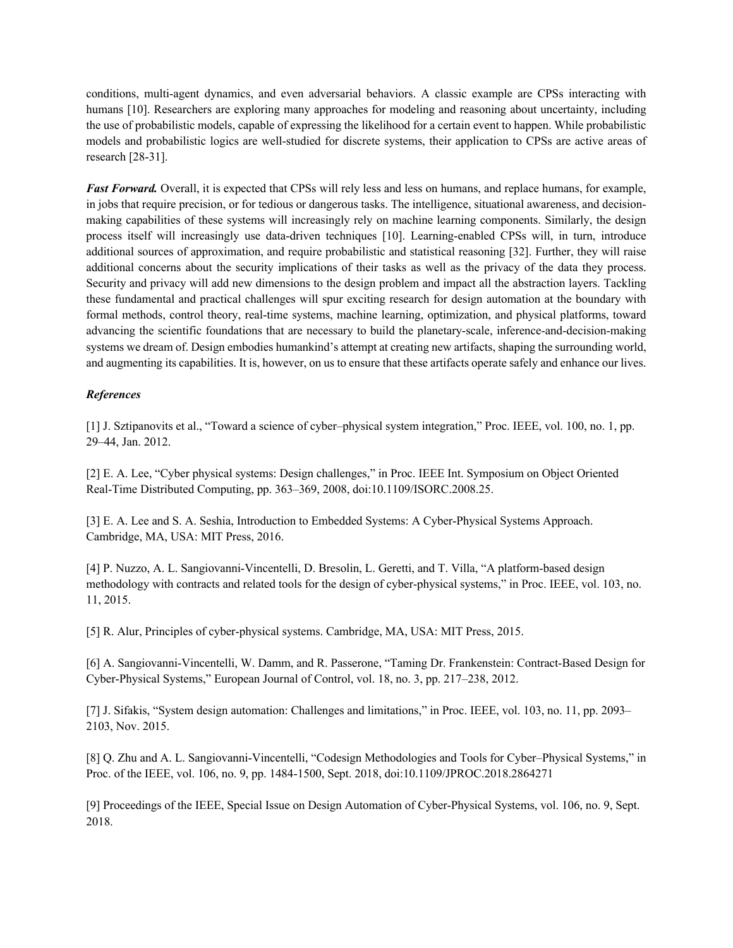conditions, multi-agent dynamics, and even adversarial behaviors. A classic example are CPSs interacting with humans [10]. Researchers are exploring many approaches for modeling and reasoning about uncertainty, including the use of probabilistic models, capable of expressing the likelihood for a certain event to happen. While probabilistic models and probabilistic logics are well-studied for discrete systems, their application to CPSs are active areas of research [28-31].

*Fast Forward.* Overall, it is expected that CPSs will rely less and less on humans, and replace humans, for example, in jobs that require precision, or for tedious or dangerous tasks. The intelligence, situational awareness, and decisionmaking capabilities of these systems will increasingly rely on machine learning components. Similarly, the design process itself will increasingly use data-driven techniques [10]. Learning-enabled CPSs will, in turn, introduce additional sources of approximation, and require probabilistic and statistical reasoning [32]. Further, they will raise additional concerns about the security implications of their tasks as well as the privacy of the data they process. Security and privacy will add new dimensions to the design problem and impact all the abstraction layers. Tackling these fundamental and practical challenges will spur exciting research for design automation at the boundary with formal methods, control theory, real-time systems, machine learning, optimization, and physical platforms, toward advancing the scientific foundations that are necessary to build the planetary-scale, inference-and-decision-making systems we dream of. Design embodies humankind's attempt at creating new artifacts, shaping the surrounding world, and augmenting its capabilities. It is, however, on us to ensure that these artifacts operate safely and enhance our lives.

## *References*

[1] J. Sztipanovits et al., "Toward a science of cyber–physical system integration," Proc. IEEE, vol. 100, no. 1, pp. 29–44, Jan. 2012.

[2] E. A. Lee, "Cyber physical systems: Design challenges," in Proc. IEEE Int. Symposium on Object Oriented Real-Time Distributed Computing, pp. 363–369, 2008, doi:10.1109/ISORC.2008.25.

[3] E. A. Lee and S. A. Seshia, Introduction to Embedded Systems: A Cyber-Physical Systems Approach. Cambridge, MA, USA: MIT Press, 2016.

[4] P. Nuzzo, A. L. Sangiovanni-Vincentelli, D. Bresolin, L. Geretti, and T. Villa, "A platform-based design methodology with contracts and related tools for the design of cyber-physical systems," in Proc. IEEE, vol. 103, no. 11, 2015.

[5] R. Alur, Principles of cyber-physical systems. Cambridge, MA, USA: MIT Press, 2015.

[6] A. Sangiovanni-Vincentelli, W. Damm, and R. Passerone, "Taming Dr. Frankenstein: Contract-Based Design for Cyber-Physical Systems," European Journal of Control, vol. 18, no. 3, pp. 217–238, 2012.

[7] J. Sifakis, "System design automation: Challenges and limitations," in Proc. IEEE, vol. 103, no. 11, pp. 2093– 2103, Nov. 2015.

[8] Q. Zhu and A. L. Sangiovanni-Vincentelli, "Codesign Methodologies and Tools for Cyber–Physical Systems," in Proc. of the IEEE, vol. 106, no. 9, pp. 1484-1500, Sept. 2018, doi:10.1109/JPROC.2018.2864271

[9] Proceedings of the IEEE, Special Issue on Design Automation of Cyber-Physical Systems, vol. 106, no. 9, Sept. 2018.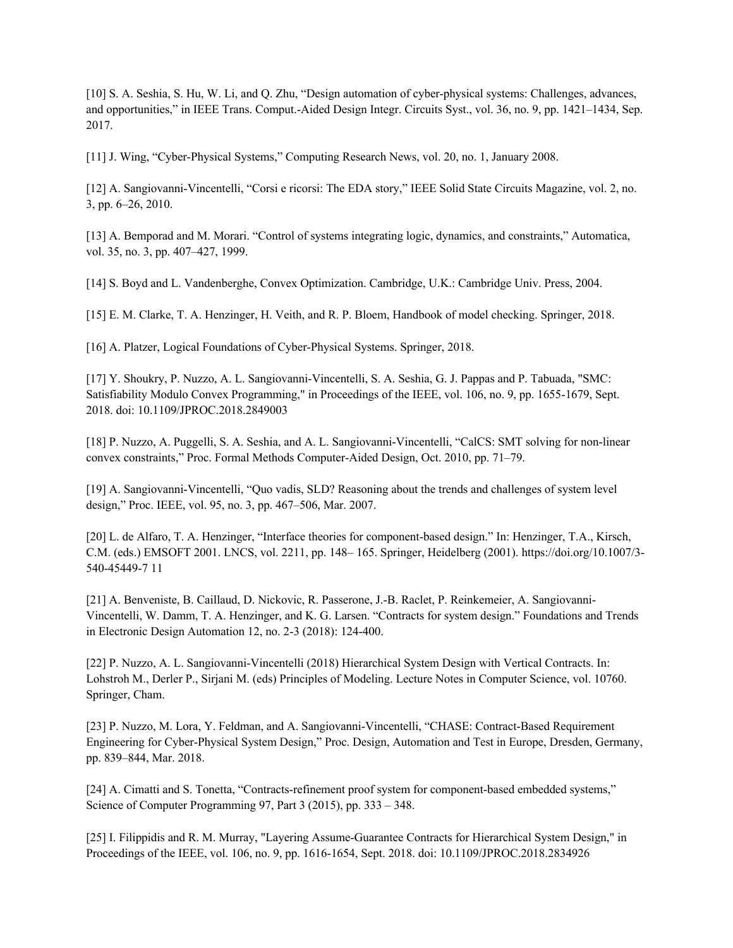[10] S. A. Seshia, S. Hu, W. Li, and Q. Zhu, "Design automation of cyber-physical systems: Challenges, advances, and opportunities," in IEEE Trans. Comput.-Aided Design Integr. Circuits Syst., vol. 36, no. 9, pp. 1421–1434, Sep. 2017.

[11] J. Wing, "Cyber-Physical Systems," Computing Research News, vol. 20, no. 1, January 2008.

[12] A. Sangiovanni-Vincentelli, "Corsi e ricorsi: The EDA story," IEEE Solid State Circuits Magazine, vol. 2, no. 3, pp. 6–26, 2010.

[13] A. Bemporad and M. Morari. "Control of systems integrating logic, dynamics, and constraints," Automatica, vol. 35, no. 3, pp. 407–427, 1999.

[14] S. Boyd and L. Vandenberghe, Convex Optimization. Cambridge, U.K.: Cambridge Univ. Press, 2004.

[15] E. M. Clarke, T. A. Henzinger, H. Veith, and R. P. Bloem, Handbook of model checking. Springer, 2018.

[16] A. Platzer, Logical Foundations of Cyber-Physical Systems. Springer, 2018.

[17] Y. Shoukry, P. Nuzzo, A. L. Sangiovanni-Vincentelli, S. A. Seshia, G. J. Pappas and P. Tabuada, "SMC: Satisfiability Modulo Convex Programming," in Proceedings of the IEEE, vol. 106, no. 9, pp. 1655-1679, Sept. 2018. doi: 10.1109/JPROC.2018.2849003

[18] P. Nuzzo, A. Puggelli, S. A. Seshia, and A. L. Sangiovanni-Vincentelli, "CalCS: SMT solving for non-linear convex constraints," Proc. Formal Methods Computer-Aided Design, Oct. 2010, pp. 71–79.

[19] A. Sangiovanni-Vincentelli, "Quo vadis, SLD? Reasoning about the trends and challenges of system level design," Proc. IEEE, vol. 95, no. 3, pp. 467–506, Mar. 2007.

[20] L. de Alfaro, T. A. Henzinger, "Interface theories for component-based design." In: Henzinger, T.A., Kirsch, C.M. (eds.) EMSOFT 2001. LNCS, vol. 2211, pp. 148– 165. Springer, Heidelberg (2001). https://doi.org/10.1007/3- 540-45449-7 11

[21] A. Benveniste, B. Caillaud, D. Nickovic, R. Passerone, J.-B. Raclet, P. Reinkemeier, A. Sangiovanni-Vincentelli, W. Damm, T. A. Henzinger, and K. G. Larsen. "Contracts for system design." Foundations and Trends in Electronic Design Automation 12, no. 2-3 (2018): 124-400.

[22] P. Nuzzo, A. L. Sangiovanni-Vincentelli (2018) Hierarchical System Design with Vertical Contracts. In: Lohstroh M., Derler P., Sirjani M. (eds) Principles of Modeling. Lecture Notes in Computer Science, vol. 10760. Springer, Cham.

[23] P. Nuzzo, M. Lora, Y. Feldman, and A. Sangiovanni-Vincentelli, "CHASE: Contract-Based Requirement Engineering for Cyber-Physical System Design," Proc. Design, Automation and Test in Europe, Dresden, Germany, pp. 839–844, Mar. 2018.

[24] A. Cimatti and S. Tonetta, "Contracts-refinement proof system for component-based embedded systems," Science of Computer Programming 97, Part 3 (2015), pp. 333 – 348.

[25] I. Filippidis and R. M. Murray, "Layering Assume-Guarantee Contracts for Hierarchical System Design," in Proceedings of the IEEE, vol. 106, no. 9, pp. 1616-1654, Sept. 2018. doi: 10.1109/JPROC.2018.2834926